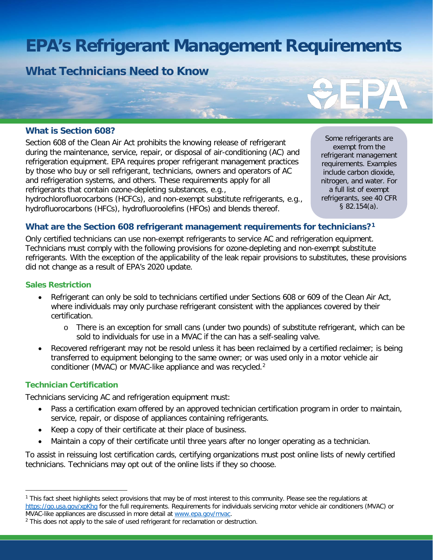# **EPA's Refrigerant Management Requirements**

**What Technicians Need to Know**

# **What is Section 608?**

Section 608 of the Clean Air Act prohibits the knowing release of refrigerant during the maintenance, service, repair, or disposal of air-conditioning (AC) and refrigeration equipment. EPA requires proper refrigerant management practices by those who buy or sell refrigerant, technicians, owners and operators of AC and refrigeration systems, and others. These requirements apply for all refrigerants that contain ozone-depleting substances, e.g.,

hydrochlorofluorocarbons (HCFCs), and non-exempt substitute refrigerants, e.g., hydrofluorocarbons (HFCs), hydrofluoroolefins (HFOs) and blends thereof.

Some refrigerants are exempt from the refrigerant management requirements. Examples include carbon dioxide, nitrogen, and water. For a full list of exempt refrigerants, see 40 CFR § 82.154(a).

# **What are the Section 608 refrigerant management requirements for technicians[?1](#page-0-0)**

Only certified technicians can use non-exempt refrigerants to service AC and refrigeration equipment. Technicians must comply with the following provisions for ozone-depleting and non-exempt substitute refrigerants. With the exception of the applicability of the leak repair provisions to substitutes, these provisions did not change as a result of EPA's 2020 update.

#### **Sales Restriction**

- Refrigerant can only be sold to technicians certified under Sections 608 or 609 of the Clean Air Act, where individuals may only purchase refrigerant consistent with the appliances covered by their certification.
	- o There is an exception for small cans (under two pounds) of substitute refrigerant, which can be sold to individuals for use in a MVAC if the can has a self-sealing valve.
- Recovered refrigerant may not be resold unless it has been reclaimed by a certified reclaimer; is being transferred to equipment belonging to the same owner; or was used only in a motor vehicle air conditioner (MVAC) or MVAC-like appliance and was recycled.<sup>[2](#page-0-1)</sup>

# **Technician Certification**

Technicians servicing AC and refrigeration equipment must:

- Pass a certification exam offered by an approved technician certification program in order to maintain, service, repair, or dispose of appliances containing refrigerants.
- Keep a copy of their certificate at their place of business.
- Maintain a copy of their certificate until three years after no longer operating as a technician.

To assist in reissuing lost certification cards, certifying organizations must post online lists of newly certified technicians. Technicians may opt out of the online lists if they so choose.

<span id="page-0-0"></span><sup>&</sup>lt;sup>1</sup> This fact sheet highlights select provisions that may be of most interest to this community. Please see the regulations at <https://go.usa.gov/xpKhq> for the full requirements. Requirements for individuals servicing motor vehicle air conditioners (MVAC) or MVAC-like appliances are discussed in more detail at www.epa.gov/mvac.

<span id="page-0-1"></span><sup>&</sup>lt;sup>2</sup> This does not apply to the sale of used refrigerant for reclamation or destruction.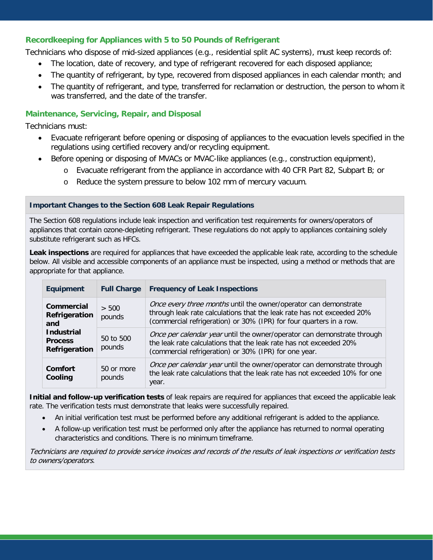# **Recordkeeping for Appliances with 5 to 50 Pounds of Refrigerant**

Technicians who dispose of mid-sized appliances (e.g., residential split AC systems), must keep records of:

- The location, date of recovery, and type of refrigerant recovered for each disposed appliance;
- The quantity of refrigerant, by type, recovered from disposed appliances in each calendar month; and
- The quantity of refrigerant, and type, transferred for reclamation or destruction, the person to whom it was transferred, and the date of the transfer.

# **Maintenance, Servicing, Repair, and Disposal**

Technicians must:

- Evacuate refrigerant before opening or disposing of appliances to the evacuation levels specified in the regulations using certified recovery and/or recycling equipment.
- Before opening or disposing of MVACs or MVAC-like appliances (e.g., construction equipment),
	- o Evacuate refrigerant from the appliance in accordance with 40 CFR Part 82, Subpart B; or
	- o Reduce the system pressure to below 102 mm of mercury vacuum.

#### **Important Changes to the Section 608 Leak Repair Regulations**

The Section 608 regulations include leak inspection and verification test requirements for owners/operators of appliances that contain ozone-depleting refrigerant. These regulations do not apply to appliances containing solely substitute refrigerant such as HFCs.

Leak inspections are required for appliances that have exceeded the applicable leak rate, according to the schedule below. All visible and accessible components of an appliance must be inspected, using a method or methods that are appropriate for that appliance.

| <b>Equipment</b>                                                                           | <b>Full Charge</b>   | <b>Frequency of Leak Inspections</b>                                                                                                                                                                              |
|--------------------------------------------------------------------------------------------|----------------------|-------------------------------------------------------------------------------------------------------------------------------------------------------------------------------------------------------------------|
| Commercial<br>Refrigeration<br>and<br><b>Industrial</b><br><b>Process</b><br>Refrigeration | > 500<br>pounds      | Once every three months until the owner/operator can demonstrate<br>through leak rate calculations that the leak rate has not exceeded 20%<br>(commercial refrigeration) or 30% (IPR) for four quarters in a row. |
|                                                                                            | 50 to 500<br>pounds  | Once per calendar year until the owner/operator can demonstrate through<br>the leak rate calculations that the leak rate has not exceeded 20%<br>(commercial refrigeration) or 30% (IPR) for one year.            |
| Comfort<br>Cooling                                                                         | 50 or more<br>pounds | Once per calendar year until the owner/operator can demonstrate through<br>the leak rate calculations that the leak rate has not exceeded 10% for one<br>year.                                                    |

**Initial and follow-up verification tests** of leak repairs are required for appliances that exceed the applicable leak rate. The verification tests must demonstrate that leaks were successfully repaired.

- An initial verification test must be performed before any additional refrigerant is added to the appliance.
- A follow-up verification test must be performed only after the appliance has returned to normal operating characteristics and conditions. There is no minimum timeframe.

Technicians are required to provide service invoices and records of the results of leak inspections or verification tests to owners/operators.